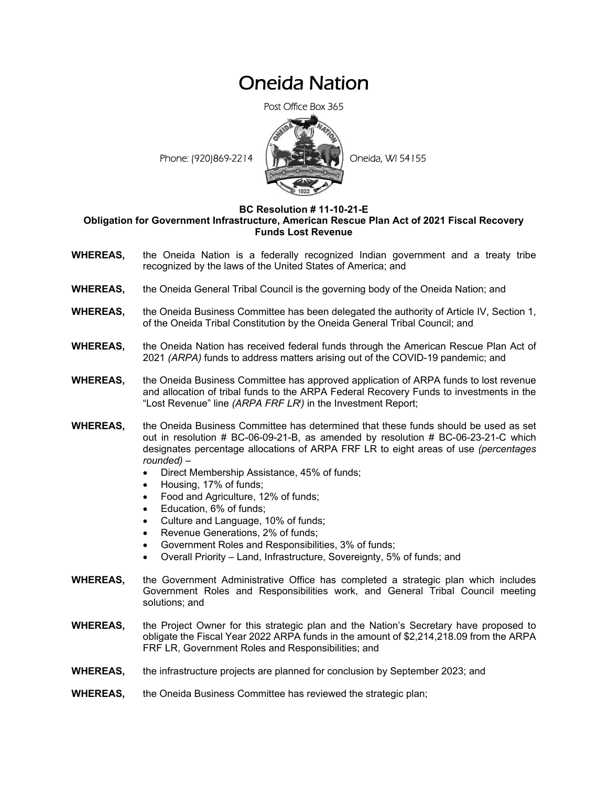## Oneida Nation

Post Office Box 365



## **BC Resolution # 11-10-21-E**

## **Obligation for Government Infrastructure, American Rescue Plan Act of 2021 Fiscal Recovery Funds Lost Revenue**

- **WHEREAS,** the Oneida Nation is a federally recognized Indian government and a treaty tribe recognized by the laws of the United States of America; and
- **WHEREAS,** the Oneida General Tribal Council is the governing body of the Oneida Nation; and
- **WHEREAS,** the Oneida Business Committee has been delegated the authority of Article IV, Section 1, of the Oneida Tribal Constitution by the Oneida General Tribal Council; and
- **WHEREAS,** the Oneida Nation has received federal funds through the American Rescue Plan Act of 2021 *(ARPA)* funds to address matters arising out of the COVID-19 pandemic; and
- **WHEREAS,** the Oneida Business Committee has approved application of ARPA funds to lost revenue and allocation of tribal funds to the ARPA Federal Recovery Funds to investments in the "Lost Revenue" line *(ARPA FRF LRi )* in the Investment Report;
- **WHEREAS,** the Oneida Business Committee has determined that these funds should be used as set out in resolution # BC-06-09-21-B, as amended by resolution # BC-06-23-21-C which designates percentage allocations of ARPA FRF LR to eight areas of use *(percentages rounded)* –
	- Direct Membership Assistance, 45% of funds;
	- Housing, 17% of funds;
	- Food and Agriculture, 12% of funds;
	- Education, 6% of funds;
	- Culture and Language, 10% of funds;
	- Revenue Generations, 2% of funds;
	- Government Roles and Responsibilities, 3% of funds;
	- Overall Priority Land, Infrastructure, Sovereignty, 5% of funds; and
- **WHEREAS,** the Government Administrative Office has completed a strategic plan which includes Government Roles and Responsibilities work, and General Tribal Council meeting solutions; and
- **WHEREAS,** the Project Owner for this strategic plan and the Nation's Secretary have proposed to obligate the Fiscal Year 2022 ARPA funds in the amount of \$2,214,218.09 from the ARPA FRF LR, Government Roles and Responsibilities; and
- **WHEREAS,** the infrastructure projects are planned for conclusion by September 2023; and
- **WHEREAS,** the Oneida Business Committee has reviewed the strategic plan;